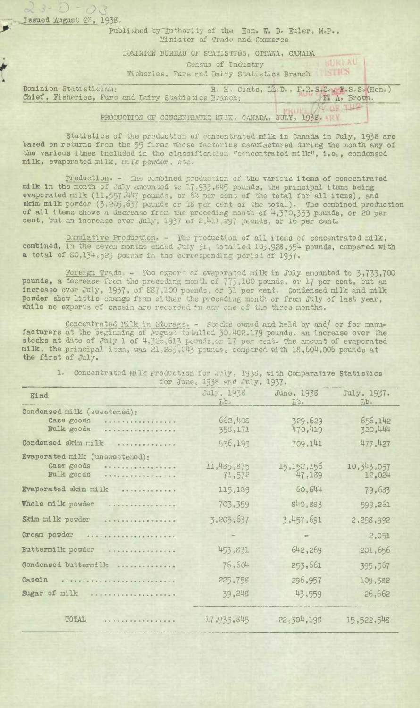Issued August 23, 1938 Published by Authority of the Hon. W. D. Euler, M.P., Minister of Trade and Commerce

 $\begin{pmatrix} 1 & 0 \\ 0 & 1 \end{pmatrix} = \begin{pmatrix} 1 & 0 \\ 0 & 1 \end{pmatrix}$ 

المحين

 $O<sub>S</sub>$ 

DOMINION BUREAU CF STATISTIGS, OTTAWA, CANADA

Census of Industry

Fisheries, Furs and Dairy Statistics Branch NINES

**BURVALL** 

| Dominion Statistician:<br>Chief, Fisheries, Furs and Dairy Statistics Branch; | R. H. Coats, Li.D., F.R. S.C., F.S. S. (Hon.)<br>F. A. Brown. |
|-------------------------------------------------------------------------------|---------------------------------------------------------------|
| PRODUCTION OF CONCENTRATED MILK, CANADA, JULY, 1938.                          | Constitution of the first                                     |

Statistics of the production of concentrated milk in Canada in July, 1938 are based on returns from the 55 firms whose factories manufactured during the month any of the various itmes included in the classification "concentrated milk", i.e., condensed milk, evaporated milk, milk powder, etc.

Production. - The cembined production of the various items of concentrated milk in the month of July amounted to  $37.533.845$  pounds, the principal items being evaporated milk (11.557.447 pounds, or  $64$  per cent of the total for all items), and skim milk powder (3,205,637 pounds or 18 per cent of the total). The combined production of all items shows a decrease from the preceding month of 4,370,353 pounds, or 20 per cent, but an increase over July, 1937 of 2,411,297 pounds, or 16 per cent.

Cumulative Preduction. - The production of all items of concentrated milk, combined, in the seven months ended July 31, totalled 103,928,354 pounds, compared with a total of 80,134,529 pounds in the corresponding period of 1937.

Foreign Trade - The export of evaporated milk in July amounted to 3,733,700 pounds, a decrease from the preceding nonth of 773,100 pounds, or 17 per cent, but an increase over July, 1937, of 887,100 pounds, or 31 per cent. Condensed milk and milk powder show little change from either the preceding while no exports of casein are recorded in any one of the three months.

Concentrated Milk in Storage. - Stocks owned and held by and/ or for manufacturers at the beginning of August to talled 30.402.179 pounds, an increase over the stocks at date of July 1 of 4,325,613 pounds, or 17 per cent. The amount of evaporated milk, the principal item, was 21,285,043 pounds, the first of July.

| Kind                                                                 | Ju1y. 1938<br>$1.5$ . | June, 1938<br>Lb.       | July, 1937.<br>$\mathbb{L}$ b. |
|----------------------------------------------------------------------|-----------------------|-------------------------|--------------------------------|
| Condensed milk (sweetened):<br>Case goods<br>.<br>Bulk goods<br>.    | 662,408<br>358,171    | 329,629<br>470,419      | 656,142<br>320,444             |
| Condensed skim milk<br>.                                             | 536,193               | 709,141                 | 477, 427                       |
| Evaporated milk (unsweetened):<br>Case goods<br>.<br>Bulk goods<br>. | 11,435,875<br>71,572  | 15, 152, 156<br>47, 189 | 10, 343, 057<br>12,024         |
| Evaporated skin milk                                                 | 115,189               | 60,644                  | 79,683                         |
| Whole milk powder<br>.                                               | 703.359               | 840,883                 | 599,261                        |
| Skim milk powder<br>.                                                | 3,205,637             | 3,457,691               | 2,298,992                      |
| Cream powder<br>. <i>.</i> .                                         |                       |                         | 2,051                          |
| Butternilk powder<br>.                                               | 453,831               | 642,269                 | 201,656                        |
| Condensed butternilk                                                 | 76,504                | 253,661                 | 395,567                        |
| Casein                                                               | 225,758               | 296,957                 | 109,582                        |
| Sugar of milk<br>.                                                   | 39,248                | 43,559                  | 26,662                         |
| TOTAL<br>.                                                           | 17,933,845            | 22,304,198              | 15,522,548                     |

1. Concentrated Milk Production for July, 1938, with Comparative Statistics<br>for June, 1938 and July, 1937.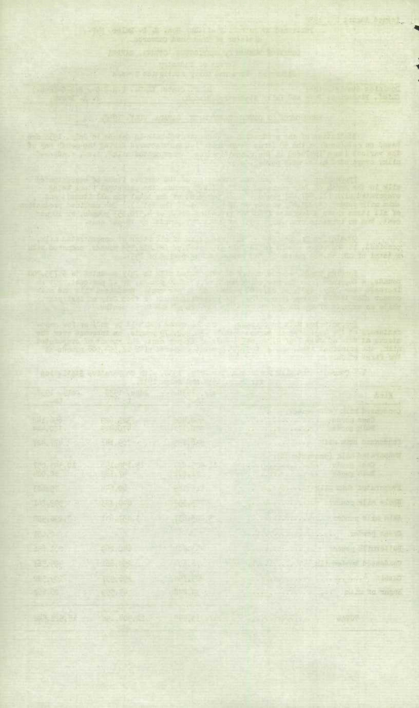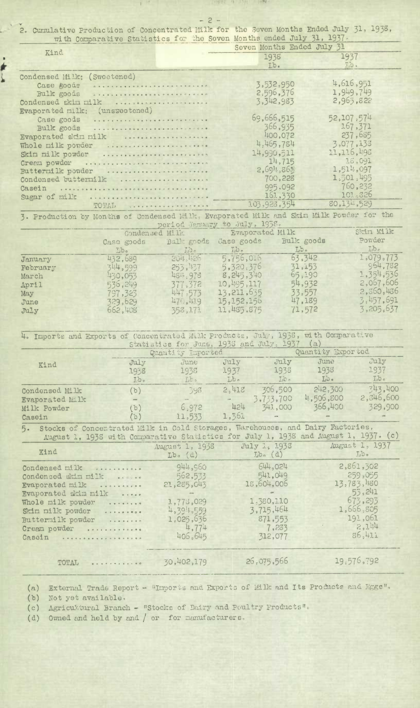$100$ 

2. Cumulative Production of Concentrated Milk for the Seven Months Ended July 31, 1938, with Comparative Statistics for the Seven Months ended July 31, 1937.

|                                | Seven Months Ended July 31 |            |  |  |
|--------------------------------|----------------------------|------------|--|--|
| Kind                           | 1938                       | 1937       |  |  |
|                                | Lb.                        | T.D.       |  |  |
| Condensed Milk; (Sweetened)    |                            |            |  |  |
| Case Roods                     | 3,532,950                  | 4,616,951  |  |  |
| Bulk goods                     | 2,596,376                  | 1,949,749  |  |  |
| Condensed skim milk            | 3, 342, 983                | 2,965,822  |  |  |
| Evaporated milk: (unsweetened) |                            |            |  |  |
| Case goods                     | 69,666,515                 | 52,107,574 |  |  |
| Bulk goods                     | 366.935                    | 167,371    |  |  |
| Evaporated skin nilk           | 400,072                    | 237,685    |  |  |
| Whole milk powder              | 4.465,784                  | 3,077,133  |  |  |
| Skin nilk powder               | 14,990,511                 | 11,116,498 |  |  |
| Cream powder                   | $11$ , 715                 | 18,091     |  |  |
| Butternilk powder              | 2,694,868                  | 1,514,097  |  |  |
| Condensed butternilk           | 700,228                    | 1,501,495  |  |  |
| Casein                         | 995,092                    | 760,232    |  |  |
| Sugar of milk                  | 161,330                    | 101.5326   |  |  |
| TOTAL ARABANALARDERSAN         | 103,923,354                | 80,134,529 |  |  |

3. Production by Months of Condensed Milk, Evaporated Milk and Skin Milk Powder for the period January to July, 1938.

|          | Gondensed Milk  |             | Evaporated Milk | Skin Mik   |           |
|----------|-----------------|-------------|-----------------|------------|-----------|
|          | Caso goods      | Balk goods  | Case goods      | Bulk goods | Powder    |
|          | $_{\text{Lbo}}$ | $\int d^3x$ | LiDe            | Lb.        | Lbc       |
| January  | 432,689         | 204.426     | 5,756,015       | 63.342     | 1,079,773 |
| February | 344,599         | 253,437     | 5,320.376       | 31,153     | 964,782   |
| March    | 430.053         | 484.978     | 8, 245, 340     | 65,190     | 1,354,536 |
| April    | 536,249         | 377, 372    | 10,495,117      | 54,932     | 2,067,606 |
| May      | 797,323         | 447.573     | 13,211,635      | 33,557     | 2,860,486 |
| June     | 329,629         | 470,419     | 15, 152, 156    | 47.189     | 3,457,691 |
| July     | 662,408         | 358,171     | 11,485.875      | 71,572     | 3,205,637 |

4. Imports and Exports of (Soncentrated Milk Products, July, 1938, with Comparative Statistics for June, 1938 and July, 1937 (a)

|                 |                           | Quantity Imported |       |                                      | Quantity Exported |             |  |
|-----------------|---------------------------|-------------------|-------|--------------------------------------|-------------------|-------------|--|
| Kind            | July                      | June              | July  | July                                 | June              | July        |  |
|                 | 1938                      | 1938              | 1937  | 1938                                 | 1938              | 1937        |  |
|                 | I.b.                      | Lb                | Lb.   | $\mathbf{L}$ $\mathbf{b}$ $\epsilon$ | $L_{0}$ .         | Lb.         |  |
| Condensed Milk  | $\mathcal{P}_\mathcal{L}$ | 398               | 2,418 | 306,500                              | 242,300           | 343.400     |  |
| Evaporated Milk | $\overline{a}$            |                   |       | 3,753,700                            | 4,506,800         | 2, 346, 600 |  |
| Milk Powder     | $\mathbf{b}$              | 6,972             | 424   | 343.,000                             | 366,400           | 329,900     |  |
| Casein          | $\mathbb{D}$              | 11,533            | 1,361 | $\sigma\infty$                       | $\equiv$          |             |  |

Stocks of Concentrated Milk in Cold Storages, Warehouses, and Dairy Factories,  $5 -$ August 1, 1938 with Comparative Statistics for July 1, 1938 and August 1, 1937. (c)

| Kind                                                                                                                                                                                                                                   | August 1, 1938<br>$Lbo$ (d)                                                                                              | July 1, 1933<br>$Lbo$ (d)                                                                                   | August 1, 1937<br>$Lb$ .                                                                           |
|----------------------------------------------------------------------------------------------------------------------------------------------------------------------------------------------------------------------------------------|--------------------------------------------------------------------------------------------------------------------------|-------------------------------------------------------------------------------------------------------------|----------------------------------------------------------------------------------------------------|
| Condensed milk<br>Condensed skim milk<br>$\bullet \leftarrow \rightarrow \bullet \bullet$<br>Evaporated milk<br>Evaporated skin milk<br>1.1111<br>Whole milk powder<br>Skim milk powder<br>Buttermilk powder<br>Cream powder<br>Casein | 944,560<br>562,533<br>21,285,043<br>$\sigma\rightarrow\pi$<br>1., 775, 029<br>4,394,559<br>1,025,636<br>4,774<br>406.645 | 644,024<br>541,049<br>18,604,006<br>$\sigma\sigma$<br>1.380,110<br>3,715,464<br>871,553<br>7,233<br>312,077 | 2,861,302<br>259,055<br>13,783,480<br>53,241<br>673,293<br>1,666,805<br>191,061<br>2.144<br>86,411 |
| TOTAL<br>                                                                                                                                                                                                                              | 30,402,179                                                                                                               | 26,075,566                                                                                                  | 19.576,792                                                                                         |

(a) External Trade Report - "Imports and Exports of Milk and Its Products and Eggs".

(b) Not yet available.

¢

(c) Agricultural Branch - "Stocks of Dairy and Poultry Products".

(d) Owned and held by and / or for manufacturers.